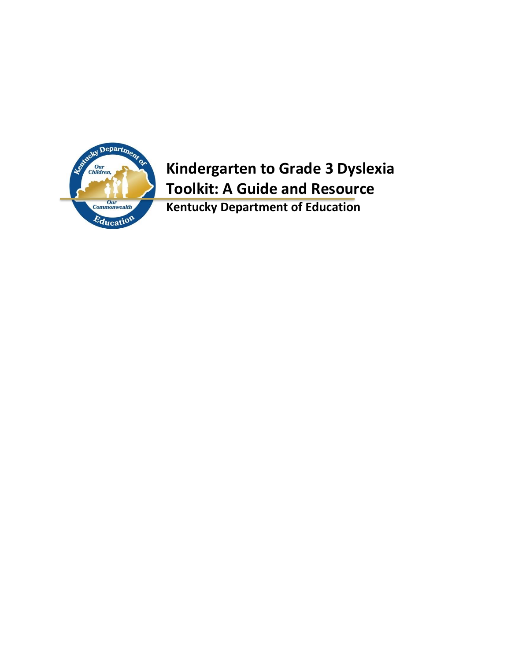

## **Kindergarten to Grade 3 Dyslexia Toolkit: A Guide and Resource**

**Kentucky Department of Education**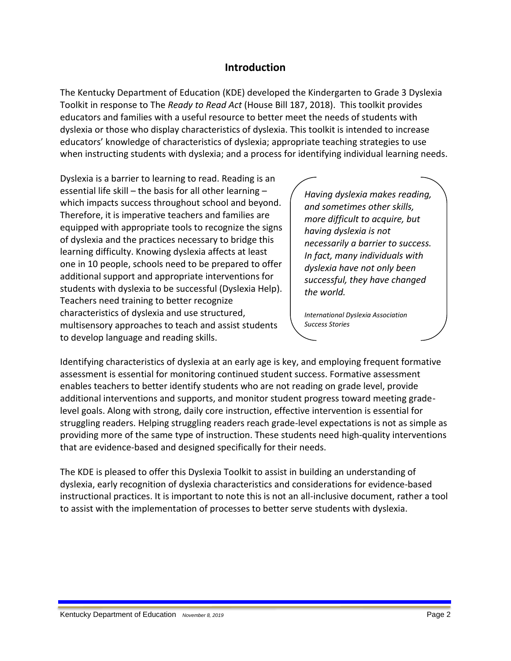## **Introduction**

The Kentucky Department of Education (KDE) developed the Kindergarten to Grade 3 Dyslexia Toolkit in response to The *Ready to Read Act* (House Bill 187, 2018). This toolkit provides educators and families with a useful resource to better meet the needs of students with dyslexia or those who display characteristics of dyslexia. This toolkit is intended to increase educators' knowledge of characteristics of dyslexia; appropriate teaching strategies to use when instructing students with dyslexia; and a process for identifying individual learning needs.

Dyslexia is a barrier to learning to read. Reading is an essential life skill – the basis for all other learning – which impacts success throughout school and beyond. Therefore, it is imperative teachers and families are equipped with appropriate tools to recognize the signs of dyslexia and the practices necessary to bridge this learning difficulty. Knowing dyslexia affects at least one in 10 people, schools need to be prepared to offer additional support and appropriate interventions for students with dyslexia to be successful (Dyslexia Help). Teachers need training to better recognize characteristics of dyslexia and use structured, multisensory approaches to teach and assist students to develop language and reading skills.

*Having dyslexia makes reading, and sometimes other skills, more difficult to acquire, but having dyslexia is not necessarily a barrier to success. In fact, many individuals with dyslexia have not only been successful, they have changed the world.*

*International Dyslexia Association Success Stories*

Identifying characteristics of dyslexia at an early age is key, and employing frequent formative assessment is essential for monitoring continued student success. Formative assessment enables teachers to better identify students who are not reading on grade level, provide additional interventions and supports, and monitor student progress toward meeting gradelevel goals. Along with strong, daily core instruction, effective intervention is essential for struggling readers. Helping struggling readers reach grade-level expectations is not as simple as providing more of the same type of instruction. These students need high-quality interventions that are evidence-based and designed specifically for their needs.

The KDE is pleased to offer this Dyslexia Toolkit to assist in building an understanding of dyslexia, early recognition of dyslexia characteristics and considerations for evidence-based instructional practices. It is important to note this is not an all-inclusive document, rather a tool to assist with the implementation of processes to better serve students with dyslexia.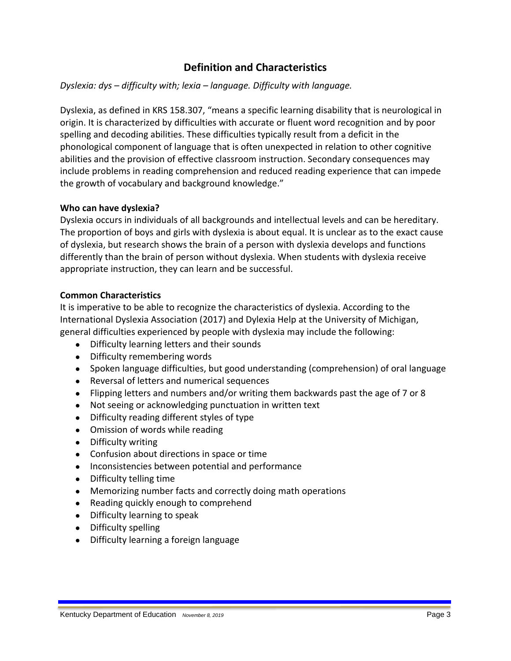## **Definition and Characteristics**

#### *Dyslexia: dys – difficulty with; lexia – language. Difficulty with language.*

Dyslexia, as defined in KRS 158.307, "means a specific learning disability that is neurological in origin. It is characterized by difficulties with accurate or fluent word recognition and by poor spelling and decoding abilities. These difficulties typically result from a deficit in the phonological component of language that is often unexpected in relation to other cognitive abilities and the provision of effective classroom instruction. Secondary consequences may include problems in reading comprehension and reduced reading experience that can impede the growth of vocabulary and background knowledge."

#### **Who can have dyslexia?**

Dyslexia occurs in individuals of all backgrounds and intellectual levels and can be hereditary. The proportion of boys and girls with dyslexia is about equal. It is unclear as to the exact cause of dyslexia, but research shows the brain of a person with dyslexia develops and functions differently than the brain of person without dyslexia. When students with dyslexia receive appropriate instruction, they can learn and be successful.

#### **Common Characteristics**

It is imperative to be able to recognize the characteristics of dyslexia. According to the International Dyslexia Association (2017) and Dylexia Help at the University of Michigan, general difficulties experienced by people with dyslexia may include the following:

- Difficulty learning letters and their sounds
- Difficulty remembering words
- Spoken language difficulties, but good understanding (comprehension) of oral language
- Reversal of letters and numerical sequences
- Flipping letters and numbers and/or writing them backwards past the age of 7 or 8
- Not seeing or acknowledging punctuation in written text
- Difficulty reading different styles of type
- Omission of words while reading
- Difficulty writing
- Confusion about directions in space or time
- Inconsistencies between potential and performance
- Difficulty telling time
- Memorizing number facts and correctly doing math operations
- Reading quickly enough to comprehend
- Difficulty learning to speak
- Difficulty spelling
- Difficulty learning a foreign language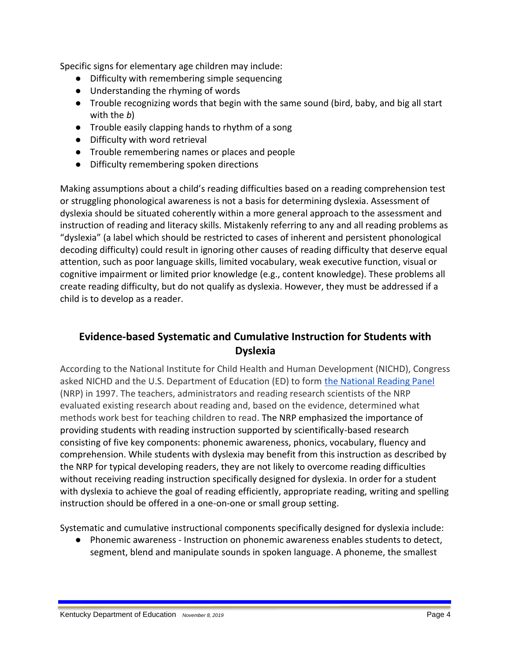Specific signs for elementary age children may include:

- Difficulty with remembering simple sequencing
- Understanding the rhyming of words
- Trouble recognizing words that begin with the same sound (bird, baby, and big all start with the *b*)
- Trouble easily clapping hands to rhythm of a song
- Difficulty with word retrieval
- Trouble remembering names or places and people
- Difficulty remembering spoken directions

Making assumptions about a child's reading difficulties based on a reading comprehension test or struggling phonological awareness is not a basis for determining dyslexia. Assessment of dyslexia should be situated coherently within a more general approach to the assessment and instruction of reading and literacy skills. Mistakenly referring to any and all reading problems as "dyslexia" (a label which should be restricted to cases of inherent and persistent phonological decoding difficulty) could result in ignoring other causes of reading difficulty that deserve equal attention, such as poor language skills, limited vocabulary, weak executive function, visual or cognitive impairment or limited prior knowledge (e.g., content knowledge). These problems all create reading difficulty, but do not qualify as dyslexia. However, they must be addressed if a child is to develop as a reader.

## **Evidence-based Systematic and Cumulative Instruction for Students with Dyslexia**

According to the National Institute for Child Health and Human Development (NICHD), Congress asked NICHD and the U.S. Department of Education (ED) to form the National Reading Panel (NRP) in 1997. The teachers, administrators and reading research scientists of the NRP evaluated existing research about reading and, based on the evidence, determined what methods work best for teaching children to read. The NRP emphasized the importance of providing students with reading instruction supported by scientifically-based research consisting of five key components: phonemic awareness, phonics, vocabulary, fluency and comprehension. While students with dyslexia may benefit from this instruction as described by the NRP for typical developing readers, they are not likely to overcome reading difficulties without receiving reading instruction specifically designed for dyslexia. In order for a student with dyslexia to achieve the goal of reading efficiently, appropriate reading, writing and spelling instruction should be offered in a one-on-one or small group setting.

Systematic and cumulative instructional components specifically designed for dyslexia include:

● Phonemic awareness - Instruction on phonemic awareness enables students to detect, segment, blend and manipulate sounds in spoken language. A phoneme, the smallest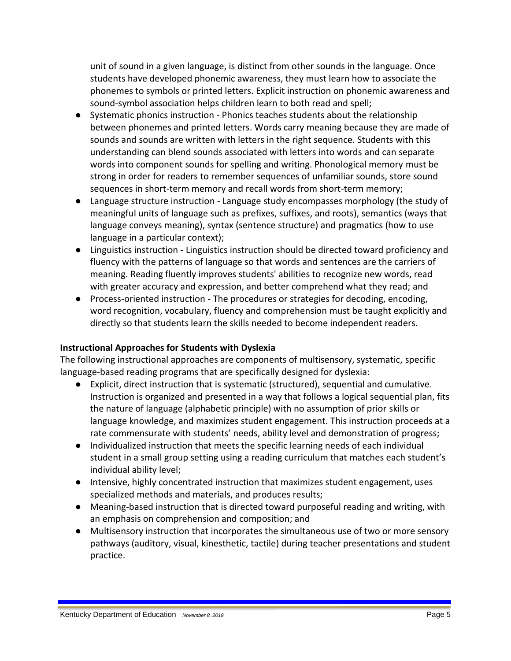unit of sound in a given language, is distinct from other sounds in the language. Once students have developed phonemic awareness, they must learn how to associate the phonemes to symbols or printed letters. Explicit instruction on phonemic awareness and sound-symbol association helps children learn to both read and spell;

- Systematic phonics instruction Phonics teaches students about the relationship between phonemes and printed letters. Words carry meaning because they are made of sounds and sounds are written with letters in the right sequence. Students with this understanding can blend sounds associated with letters into words and can separate words into component sounds for spelling and writing. Phonological memory must be strong in order for readers to remember sequences of unfamiliar sounds, store sound sequences in short-term memory and recall words from short-term memory;
- Language structure instruction Language study encompasses morphology (the study of meaningful units of language such as prefixes, suffixes, and roots), semantics (ways that language conveys meaning), syntax (sentence structure) and pragmatics (how to use language in a particular context);
- Linguistics instruction Linguistics instruction should be directed toward proficiency and fluency with the patterns of language so that words and sentences are the carriers of meaning. Reading fluently improves students' abilities to recognize new words, read with greater accuracy and expression, and better comprehend what they read; and
- Process-oriented instruction The procedures or strategies for decoding, encoding, word recognition, vocabulary, fluency and comprehension must be taught explicitly and directly so that students learn the skills needed to become independent readers.

#### **Instructional Approaches for Students with Dyslexia**

The following instructional approaches are components of multisensory, systematic, specific language-based reading programs that are specifically designed for dyslexia:

- Explicit, direct instruction that is systematic (structured), sequential and cumulative. Instruction is organized and presented in a way that follows a logical sequential plan, fits the nature of language (alphabetic principle) with no assumption of prior skills or language knowledge, and maximizes student engagement. This instruction proceeds at a rate commensurate with students' needs, ability level and demonstration of progress;
- Individualized instruction that meets the specific learning needs of each individual student in a small group setting using a reading curriculum that matches each student's individual ability level;
- Intensive, highly concentrated instruction that maximizes student engagement, uses specialized methods and materials, and produces results;
- Meaning-based instruction that is directed toward purposeful reading and writing, with an emphasis on comprehension and composition; and
- Multisensory instruction that incorporates the simultaneous use of two or more sensory pathways (auditory, visual, kinesthetic, tactile) during teacher presentations and student practice.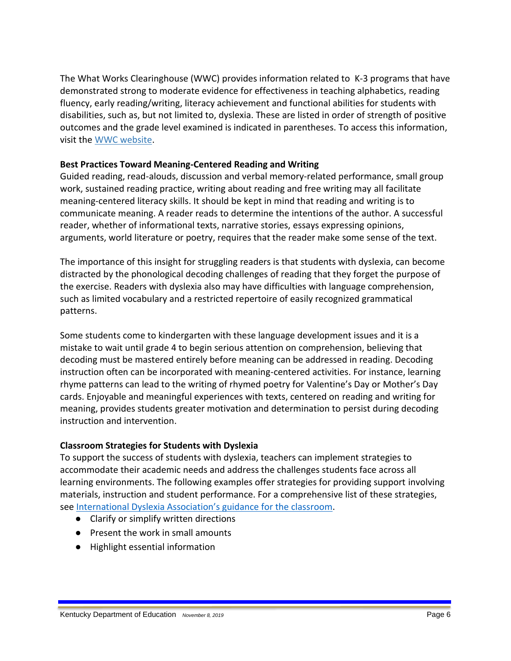The What Works Clearinghouse (WWC) provides information related to K-3 programs that have demonstrated strong to moderate evidence for effectiveness in teaching alphabetics, reading fluency, early reading/writing, literacy achievement and functional abilities for students with disabilities, such as, but not limited to, dyslexia. These are listed in order of strength of positive outcomes and the grade level examined is indicated in parentheses. To access this information, visit the [WWC website.](https://ies.ed.gov/ncee/wwc/FWW/Results?filters=,Literacy&customOutcomeFilters=Functional-abilities,Alphabetics,Early-reading/writing,Literacy-achievement,Phonological-processing,Reading-fluency,)

#### **Best Practices Toward Meaning-Centered Reading and Writing**

Guided reading, read-alouds, discussion and verbal memory-related performance, small group work, sustained reading practice, writing about reading and free writing may all facilitate meaning-centered literacy skills. It should be kept in mind that reading and writing is to communicate meaning. A reader reads to determine the intentions of the author. A successful reader, whether of informational texts, narrative stories, essays expressing opinions, arguments, world literature or poetry, requires that the reader make some sense of the text.

The importance of this insight for struggling readers is that students with dyslexia, can become distracted by the phonological decoding challenges of reading that they forget the purpose of the exercise. Readers with dyslexia also may have difficulties with language comprehension, such as limited vocabulary and a restricted repertoire of easily recognized grammatical patterns.

Some students come to kindergarten with these language development issues and it is a mistake to wait until grade 4 to begin serious attention on comprehension, believing that decoding must be mastered entirely before meaning can be addressed in reading. Decoding instruction often can be incorporated with meaning-centered activities. For instance, learning rhyme patterns can lead to the writing of rhymed poetry for Valentine's Day or Mother's Day cards. Enjoyable and meaningful experiences with texts, centered on reading and writing for meaning, provides students greater motivation and determination to persist during decoding instruction and intervention.

## **Classroom Strategies for Students with Dyslexia**

To support the success of students with dyslexia, teachers can implement strategies to accommodate their academic needs and address the challenges students face across all learning environments. The following examples offer strategies for providing support involving materials, instruction and student performance. For a comprehensive list of these strategies, see [International Dyslexia Association's guidance for the class](https://dyslexiaida.org/wp-content/uploads/2015/01/DITC-Handbook.pdf)room.

- Clarify or simplify written directions
- Present the work in small amounts
- Highlight essential information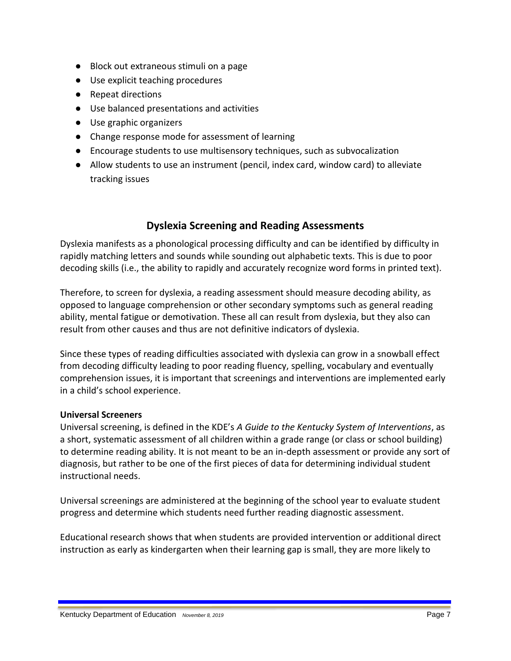- Block out extraneous stimuli on a page
- Use explicit teaching procedures
- Repeat directions
- Use balanced presentations and activities
- Use graphic organizers
- Change response mode for assessment of learning
- Encourage students to use multisensory techniques, such as subvocalization
- Allow students to use an instrument (pencil, index card, window card) to alleviate tracking issues

## **Dyslexia Screening and Reading Assessments**

Dyslexia manifests as a phonological processing difficulty and can be identified by difficulty in rapidly matching letters and sounds while sounding out alphabetic texts. This is due to poor decoding skills (i.e., the ability to rapidly and accurately recognize word forms in printed text).

Therefore, to screen for dyslexia, a reading assessment should measure decoding ability, as opposed to language comprehension or other secondary symptoms such as general reading ability, mental fatigue or demotivation. These all can result from dyslexia, but they also can result from other causes and thus are not definitive indicators of dyslexia.

Since these types of reading difficulties associated with dyslexia can grow in a snowball effect from decoding difficulty leading to poor reading fluency, spelling, vocabulary and eventually comprehension issues, it is important that screenings and interventions are implemented early in a child's school experience.

#### **Universal Screeners**

Universal screening, is defined in the KDE's *A Guide to the Kentucky System of Interventions*, as a short, systematic assessment of all children within a grade range (or class or school building) to determine reading ability. It is not meant to be an in-depth assessment or provide any sort of diagnosis, but rather to be one of the first pieces of data for determining individual student instructional needs.

Universal screenings are administered at the beginning of the school year to evaluate student progress and determine which students need further reading diagnostic assessment.

Educational research shows that when students are provided intervention or additional direct instruction as early as kindergarten when their learning gap is small, they are more likely to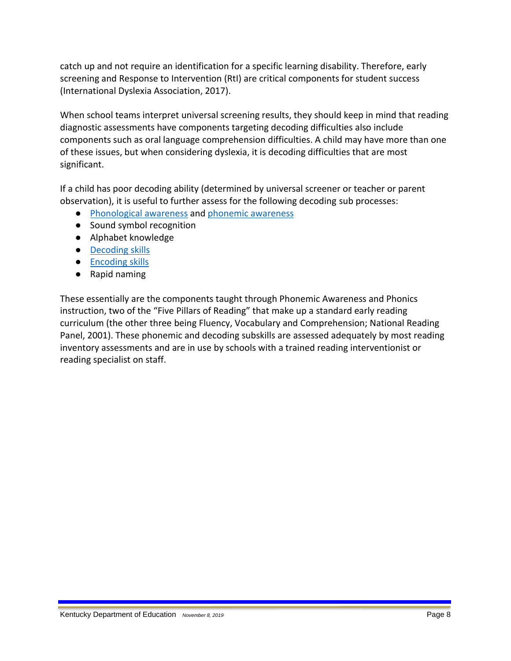catch up and not require an identification for a specific learning disability. Therefore, early screening and Response to Intervention (RtI) are critical components for student success (International Dyslexia Association, 2017).

When school teams interpret universal screening results, they should keep in mind that reading diagnostic assessments have components targeting decoding difficulties also include components such as oral language comprehension difficulties. A child may have more than one of these issues, but when considering dyslexia, it is decoding difficulties that are most significant.

If a child has poor decoding ability (determined by universal screener or teacher or parent observation), it is useful to further assess for the following decoding sub processes:

- [Phonological awareness](#page-23-0) and [phonemic awareness](#page-23-1)
- Sound symbol recognition
- Alphabet knowledge
- [Decoding skills](#page-21-0)
- [Encoding skills](#page-22-0)
- Rapid naming

These essentially are the components taught through Phonemic Awareness and Phonics instruction, two of the "Five Pillars of Reading" that make up a standard early reading curriculum (the other three being Fluency, Vocabulary and Comprehension; National Reading Panel, 2001). These phonemic and decoding subskills are assessed adequately by most reading inventory assessments and are in use by schools with a trained reading interventionist or reading specialist on staff.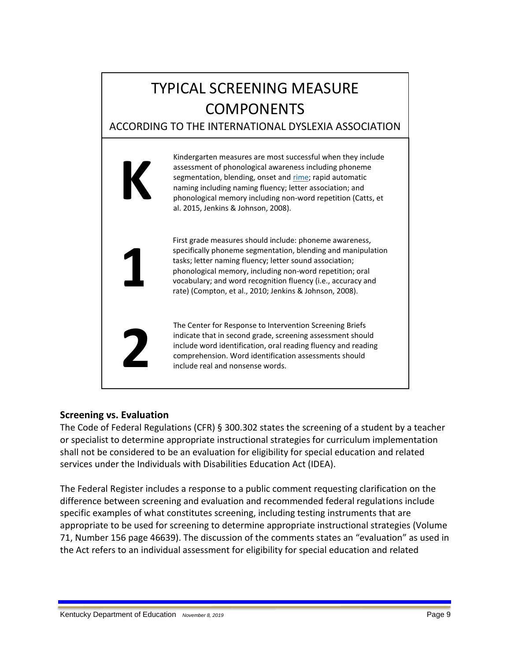# TYPICAL SCREENING MEASURE COMPONENTS ACCORDING TO THE INTERNATIONAL DYSLEXIA ASSOCIATION



## **Screening vs. Evaluation**

The Code of Federal Regulations (CFR) § 300.302 states the screening of a student by a teacher or specialist to determine appropriate instructional strategies for curriculum implementation shall not be considered to be an evaluation for eligibility for special education and related services under the Individuals with Disabilities Education Act (IDEA).

The Federal Register includes a response to a public comment requesting clarification on the difference between screening and evaluation and recommended federal regulations include specific examples of what constitutes screening, including testing instruments that are appropriate to be used for screening to determine appropriate instructional strategies (Volume 71, Number 156 page 46639). The discussion of the comments states an "evaluation" as used in the Act refers to an individual assessment for eligibility for special education and related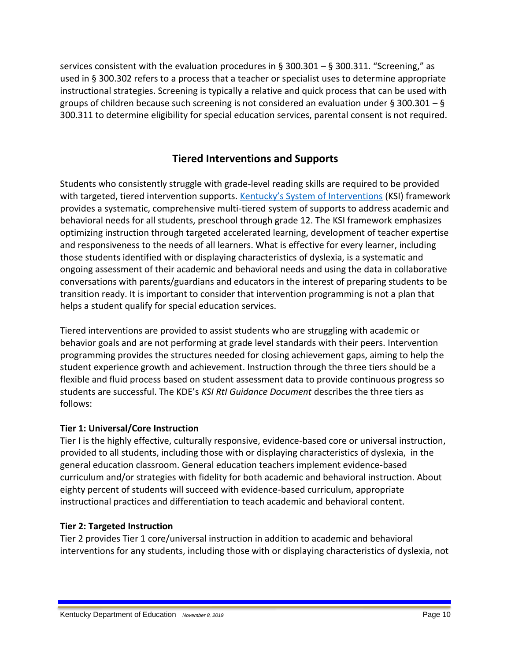services consistent with the evaluation procedures in § 300.301 – § 300.311. "Screening," as used in § 300.302 refers to a process that a teacher or specialist uses to determine appropriate instructional strategies. Screening is typically a relative and quick process that can be used with groups of children because such screening is not considered an evaluation under § 300.301 – § 300.311 to determine eligibility for special education services, parental consent is not required.

## **Tiered Interventions and Supports**

Students who consistently struggle with grade-level reading skills are required to be provided with targeted, tiered intervention supports. [Kentucky's System of Interventions](https://education.ky.gov/educational/int/ksi/Documents/KSIRtIGuidanceDocument.pdf) (KSI) framework provides a systematic, comprehensive multi-tiered system of supports to address academic and behavioral needs for all students, preschool through grade 12. The KSI framework emphasizes optimizing instruction through targeted accelerated learning, development of teacher expertise and responsiveness to the needs of all learners. What is effective for every learner, including those students identified with or displaying characteristics of dyslexia, is a systematic and ongoing assessment of their academic and behavioral needs and using the data in collaborative conversations with parents/guardians and educators in the interest of preparing students to be transition ready. It is important to consider that intervention programming is not a plan that helps a student qualify for special education services.

Tiered interventions are provided to assist students who are struggling with academic or behavior goals and are not performing at grade level standards with their peers. Intervention programming provides the structures needed for closing achievement gaps, aiming to help the student experience growth and achievement. Instruction through the three tiers should be a flexible and fluid process based on student assessment data to provide continuous progress so students are successful. The KDE's *KSI RtI Guidance Document* describes the three tiers as follows:

#### **Tier 1: Universal/Core Instruction**

Tier I is the highly effective, culturally responsive, evidence-based core or universal instruction, provided to all students, including those with or displaying characteristics of dyslexia, in the general education classroom. General education teachers implement evidence-based curriculum and/or strategies with fidelity for both academic and behavioral instruction. About eighty percent of students will succeed with evidence-based curriculum, appropriate instructional practices and differentiation to teach academic and behavioral content.

## **Tier 2: Targeted Instruction**

Tier 2 provides Tier 1 core/universal instruction in addition to academic and behavioral interventions for any students, including those with or displaying characteristics of dyslexia, not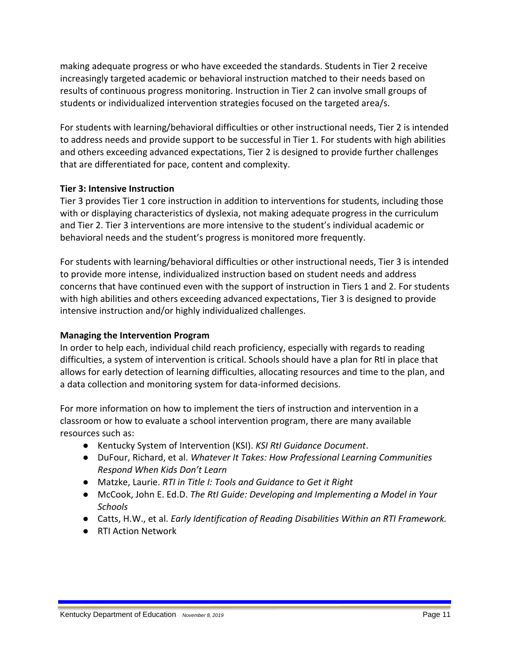making adequate progress or who have exceeded the standards. Students in Tier 2 receive increasingly targeted academic or behavioral instruction matched to their needs based on results of continuous progress monitoring. Instruction in Tier 2 can involve small groups of students or individualized intervention strategies focused on the targeted area/s.

For students with learning/behavioral difficulties or other instructional needs, Tier 2 is intended to address needs and provide support to be successful in Tier 1. For students with high abilities and others exceeding advanced expectations, Tier 2 is designed to provide further challenges that are differentiated for pace, content and complexity.

#### **Tier 3: Intensive Instruction**

Tier 3 provides Tier 1 core instruction in addition to interventions for students, including those with or displaying characteristics of dyslexia, not making adequate progress in the curriculum and Tier 2. Tier 3 interventions are more intensive to the student's individual academic or behavioral needs and the student's progress is monitored more frequently.

For students with learning/behavioral difficulties or other instructional needs, Tier 3 is intended to provide more intense, individualized instruction based on student needs and address concerns that have continued even with the support of instruction in Tiers 1 and 2. For students with high abilities and others exceeding advanced expectations, Tier 3 is designed to provide intensive instruction and/or highly individualized challenges.

#### **Managing the Intervention Program**

In order to help each, individual child reach proficiency, especially with regards to reading difficulties, a system of intervention is critical. Schools should have a plan for RtI in place that allows for early detection of learning difficulties, allocating resources and time to the plan, and a data collection and monitoring system for data-informed decisions.

For more information on how to implement the tiers of instruction and intervention in a classroom or how to evaluate a school intervention program, there are many available resources such as:

- Kentucky System of Intervention (KSI). *KSI RtI Guidance Document*.
- DuFour, Richard, et al. *Whatever It Takes: How Professional Learning Communities Respond When Kids Don't Learn*
- Matzke, Laurie. *RTI in Title I: Tools and Guidance to Get it Right*
- McCook, John E. Ed.D. *The RtI Guide: Developing and Implementing a Model in Your Schools*
- Catts, H.W., et al. *Early Identification of Reading Disabilities Within an RTI Framework.*
- RTI Action Network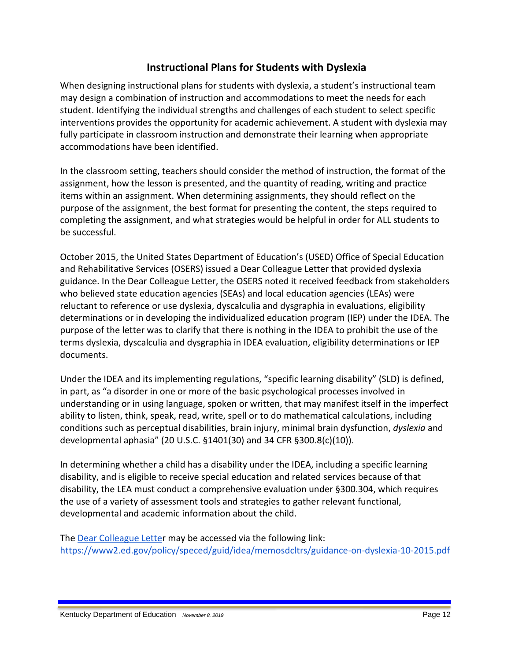## **Instructional Plans for Students with Dyslexia**

When designing instructional plans for students with dyslexia, a student's instructional team may design a combination of instruction and accommodations to meet the needs for each student. Identifying the individual strengths and challenges of each student to select specific interventions provides the opportunity for academic achievement. A student with dyslexia may fully participate in classroom instruction and demonstrate their learning when appropriate accommodations have been identified.

In the classroom setting, teachers should consider the method of instruction, the format of the assignment, how the lesson is presented, and the quantity of reading, writing and practice items within an assignment. When determining assignments, they should reflect on the purpose of the assignment, the best format for presenting the content, the steps required to completing the assignment, and what strategies would be helpful in order for ALL students to be successful.

October 2015, the United States Department of Education's (USED) Office of Special Education and Rehabilitative Services (OSERS) issued a Dear Colleague Letter that provided dyslexia guidance. In the Dear Colleague Letter, the OSERS noted it received feedback from stakeholders who believed state education agencies (SEAs) and local education agencies (LEAs) were reluctant to reference or use dyslexia, dyscalculia and dysgraphia in evaluations, eligibility determinations or in developing the individualized education program (IEP) under the IDEA. The purpose of the letter was to clarify that there is nothing in the IDEA to prohibit the use of the terms dyslexia, dyscalculia and dysgraphia in IDEA evaluation, eligibility determinations or IEP documents.

Under the IDEA and its implementing regulations, "specific learning disability" (SLD) is defined, in part, as "a disorder in one or more of the basic psychological processes involved in understanding or in using language, spoken or written, that may manifest itself in the imperfect ability to listen, think, speak, read, write, spell or to do mathematical calculations, including conditions such as perceptual disabilities, brain injury, minimal brain dysfunction, *dyslexia* and developmental aphasia" (20 U.S.C. §1401(30) and 34 CFR §300.8(c)(10)).

In determining whether a child has a disability under the IDEA, including a specific learning disability, and is eligible to receive special education and related services because of that disability, the LEA must conduct a comprehensive evaluation under §300.304, which requires the use of a variety of assessment tools and strategies to gather relevant functional, developmental and academic information about the child.

The [Dear Colleague Letter](https://www2.ed.gov/policy/speced/guid/idea/memosdcltrs/guidance-on-dyslexia-10-2015.pdf) may be accessed via the following link[:](https://www2.ed.gov/policy/speced/guid/idea/memosdcltrs/guidance-on-dyslexia-10-2015.pdf) <https://www2.ed.gov/policy/speced/guid/idea/memosdcltrs/guidance-on-dyslexia-10-2015.pdf>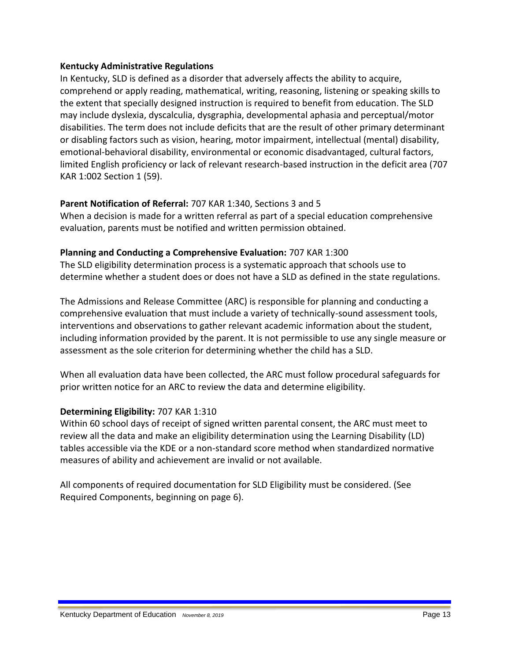#### **Kentucky Administrative Regulations**

In Kentucky, SLD is defined as a disorder that adversely affects the ability to acquire, comprehend or apply reading, mathematical, writing, reasoning, listening or speaking skills to the extent that specially designed instruction is required to benefit from education. The SLD may include dyslexia, dyscalculia, dysgraphia, developmental aphasia and perceptual/motor disabilities. The term does not include deficits that are the result of other primary determinant or disabling factors such as vision, hearing, motor impairment, intellectual (mental) disability, emotional-behavioral disability, environmental or economic disadvantaged, cultural factors, limited English proficiency or lack of relevant research-based instruction in the deficit area (707 KAR 1:002 Section 1 (59).

#### **Parent Notification of Referral:** 707 KAR 1:340, Sections 3 and 5

When a decision is made for a written referral as part of a special education comprehensive evaluation, parents must be notified and written permission obtained.

#### **Planning and Conducting a Comprehensive Evaluation:** 707 KAR 1:300

The SLD eligibility determination process is a systematic approach that schools use to determine whether a student does or does not have a SLD as defined in the state regulations.

The Admissions and Release Committee (ARC) is responsible for planning and conducting a comprehensive evaluation that must include a variety of technically-sound assessment tools, interventions and observations to gather relevant academic information about the student, including information provided by the parent. It is not permissible to use any single measure or assessment as the sole criterion for determining whether the child has a SLD.

When all evaluation data have been collected, the ARC must follow procedural safeguards for prior written notice for an ARC to review the data and determine eligibility.

## **Determining Eligibility:** 707 KAR 1:310

Within 60 school days of receipt of signed written parental consent, the ARC must meet to review all the data and make an eligibility determination using the Learning Disability (LD) tables accessible via the KDE or a non-standard score method when standardized normative measures of ability and achievement are invalid or not available.

All components of required documentation for SLD Eligibility must be considered. (See Required Components, beginning on page 6).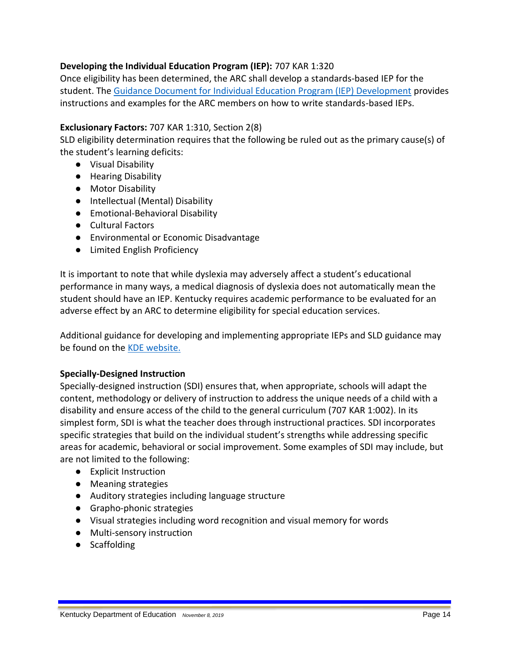#### **Developing the Individual Education Program (IEP):** 707 KAR 1:320

Once eligibility has been determined, the ARC shall develop a standards-based IEP for the student. Th[e](http://education.ky.gov/specialed/excep/Pages/IEP-Guidance-and-Documents.aspx) [Guidance Document for Individual Education Program \(IEP\) Development](http://education.ky.gov/specialed/excep/Pages/IEP-Guidance-and-Documents.aspx) provides instructions and examples for the ARC members on how to write standards-based IEPs.

#### **Exclusionary Factors:** 707 KAR 1:310, Section 2(8)

SLD eligibility determination requires that the following be ruled out as the primary cause(s) of the student's learning deficits:

- Visual Disability
- Hearing Disability
- Motor Disability
- Intellectual (Mental) Disability
- Emotional-Behavioral Disability
- Cultural Factors
- Environmental or Economic Disadvantage
- Limited English Proficiency

It is important to note that while dyslexia may adversely affect a student's educational performance in many ways, a medical diagnosis of dyslexia does not automatically mean the student should have an IEP. Kentucky requires academic performance to be evaluated for an adverse effect by an ARC to determine eligibility for special education services.

Additional guidance for developing and implementing appropriate IEPs and SLD guidance may be found on th[e](https://education.ky.gov/specialed/excep/forms/Pages/IEP-Guidance-and-Documents.aspx) [KDE website.](https://education.ky.gov/specialed/excep/forms/Pages/IEP-Guidance-and-Documents.aspx)

#### **Specially-Designed Instruction**

Specially-designed instruction (SDI) ensures that, when appropriate, schools will adapt the content, methodology or delivery of instruction to address the unique needs of a child with a disability and ensure access of the child to the general curriculum (707 KAR 1:002). In its simplest form, SDI is what the teacher does through instructional practices. SDI incorporates specific strategies that build on the individual student's strengths while addressing specific areas for academic, behavioral or social improvement. Some examples of SDI may include, but are not limited to the following:

- Explicit Instruction
- Meaning strategies
- Auditory strategies including language structure
- Grapho-phonic strategies
- Visual strategies including word recognition and visual memory for words
- Multi-sensory instruction
- Scaffolding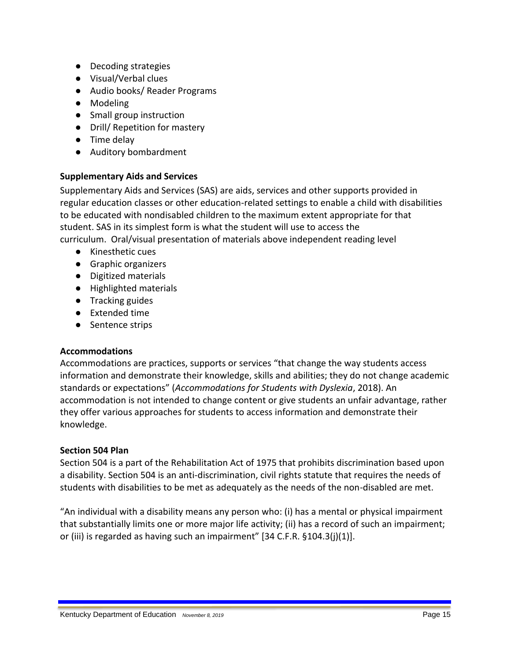- Decoding strategies
- Visual/Verbal clues
- Audio books/ Reader Programs
- Modeling
- Small group instruction
- Drill/ Repetition for mastery
- Time delay
- Auditory bombardment

## **Supplementary Aids and Services**

Supplementary Aids and Services (SAS) are aids, services and other supports provided in regular education classes or other education-related settings to enable a child with disabilities to be educated with nondisabled children to the maximum extent appropriate for that student. SAS in its simplest form is what the student will use to access the curriculum. Oral/visual presentation of materials above independent reading level

- Kinesthetic cues
- Graphic organizers
- Digitized materials
- Highlighted materials
- Tracking guides
- Extended time
- Sentence strips

## **Accommodations**

Accommodations are practices, supports or services "that change the way students access information and demonstrate their knowledge, skills and abilities; they do not change academic standards or expectations" (*Accommodations for Students with Dyslexia*, 2018). An accommodation is not intended to change content or give students an unfair advantage, rather they offer various approaches for students to access information and demonstrate their knowledge.

## **Section 504 Plan**

Section 504 is a part of the Rehabilitation Act of 1975 that prohibits discrimination based upon a disability. Section 504 is an anti-discrimination, civil rights statute that requires the needs of students with disabilities to be met as adequately as the needs of the non-disabled are met.

"An individual with a disability means any person who: (i) has a mental or physical impairment that substantially limits one or more major life activity; (ii) has a record of such an impairment; or (iii) is regarded as having such an impairment" [34 C.F.R. §104.3(j)(1)].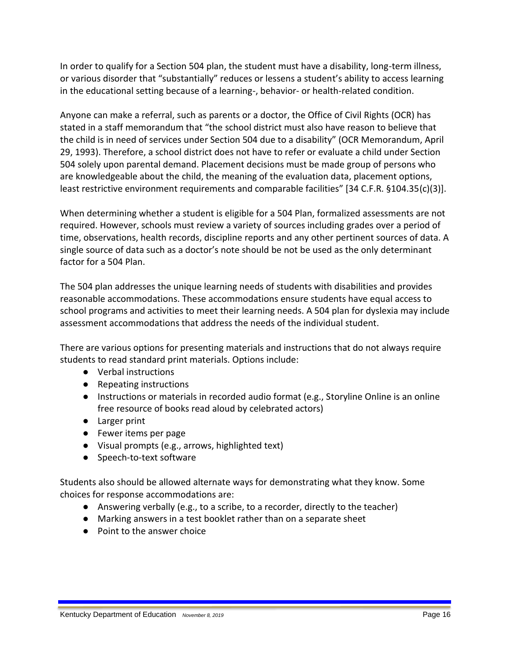In order to qualify for a Section 504 plan, the student must have a disability, long-term illness, or various disorder that "substantially" reduces or lessens a student's ability to access learning in the educational setting because of a learning-, behavior- or health-related condition.

Anyone can make a referral, such as parents or a doctor, the Office of Civil Rights (OCR) has stated in a staff memorandum that "the school district must also have reason to believe that the child is in need of services under Section 504 due to a disability" (OCR Memorandum, April 29, 1993). Therefore, a school district does not have to refer or evaluate a child under Section 504 solely upon parental demand. Placement decisions must be made group of persons who are knowledgeable about the child, the meaning of the evaluation data, placement options, least restrictive environment requirements and comparable facilities" [34 C.F.R. §104.35(c)(3)].

When determining whether a student is eligible for a 504 Plan, formalized assessments are not required. However, schools must review a variety of sources including grades over a period of time, observations, health records, discipline reports and any other pertinent sources of data. A single source of data such as a doctor's note should be not be used as the only determinant factor for a 504 Plan.

The 504 plan addresses the unique learning needs of students with disabilities and provides reasonable accommodations. These accommodations ensure students have equal access to school programs and activities to meet their learning needs. A 504 plan for dyslexia may include assessment accommodations that address the needs of the individual student.

There are various options for presenting materials and instructions that do not always require students to read standard print materials. Options include:

- Verbal instructions
- Repeating instructions
- Instructions or materials in recorded audio format (e.g., Storyline Online is an online free resource of books read aloud by celebrated actors)
- Larger print
- Fewer items per page
- Visual prompts (e.g., arrows, highlighted text)
- Speech-to-text software

Students also should be allowed alternate ways for demonstrating what they know. Some choices for response accommodations are:

- Answering verbally (e.g., to a scribe, to a recorder, directly to the teacher)
- Marking answers in a test booklet rather than on a separate sheet
- Point to the answer choice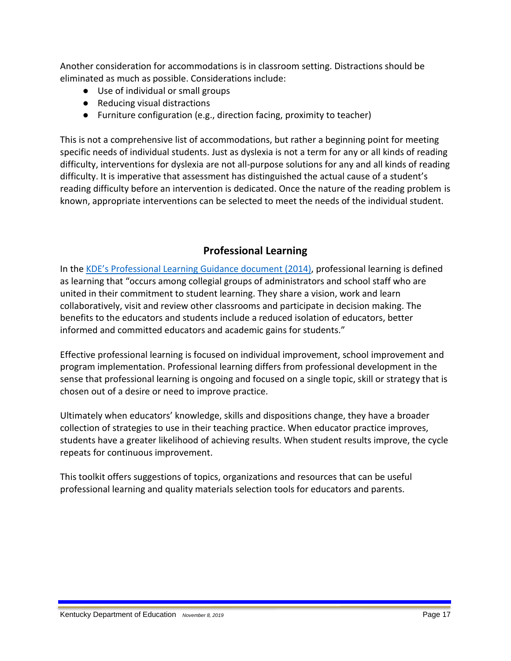Another consideration for accommodations is in classroom setting. Distractions should be eliminated as much as possible. Considerations include:

- Use of individual or small groups
- Reducing visual distractions
- Furniture configuration (e.g., direction facing, proximity to teacher)

This is not a comprehensive list of accommodations, but rather a beginning point for meeting specific needs of individual students. Just as dyslexia is not a term for any or all kinds of reading difficulty, interventions for dyslexia are not all-purpose solutions for any and all kinds of reading difficulty. It is imperative that assessment has distinguished the actual cause of a student's reading difficulty before an intervention is dedicated. Once the nature of the reading problem is known, appropriate interventions can be selected to meet the needs of the individual student.

## **Professional Learning**

In the KDE's Professiona[l Learning Guidance document](https://education.ky.gov/teachers/PD/Documents/KY%20Professional%20Learning%20Guidance.pdf) (2014), professional learning is defined as learning that "occurs among collegial groups of administrators and school staff who are united in their commitment to student learning. They share a vision, work and learn collaboratively, visit and review other classrooms and participate in decision making. The benefits to the educators and students include a reduced isolation of educators, better informed and committed educators and academic gains for students."

Effective professional learning is focused on individual improvement, school improvement and program implementation. Professional learning differs from professional development in the sense that professional learning is ongoing and focused on a single topic, skill or strategy that is chosen out of a desire or need to improve practice.

Ultimately when educators' knowledge, skills and dispositions change, they have a broader collection of strategies to use in their teaching practice. When educator practice improves, students have a greater likelihood of achieving results. When student results improve, the cycle repeats for continuous improvement.

This toolkit offers suggestions of topics, organizations and resources that can be useful professional learning and quality materials selection tools for educators and parents.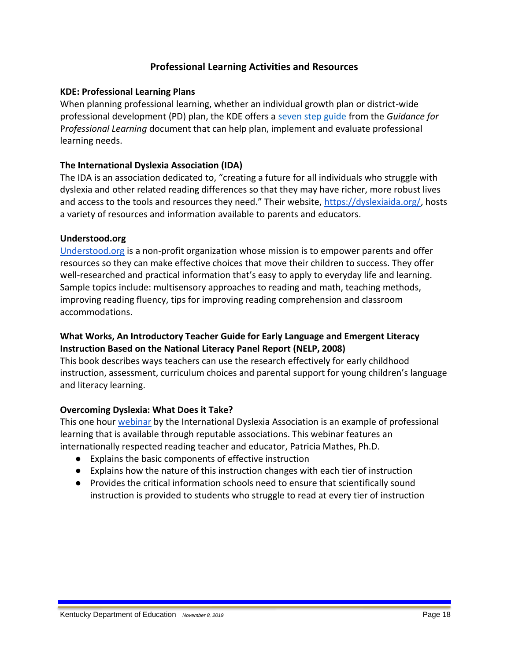## **Professional Learning Activities and Resources**

#### **KDE: Professional Learning Plans**

When planning professional learning, whether an individual growth plan or district-wide professional development (PD) plan, the KDE offers a [seven step guide](https://education.ky.gov/teachers/PD/Documents/7%20Steps%20PL%20-%20plan,%20implement,%20evaluate.pdf) from the *Guidance for* P*rofessional Learning* document that can help plan, implement and evaluate professional learning needs.

#### **The International Dyslexia Association (IDA)**

The IDA is an association dedicated to, "creating a future for all individuals who struggle with dyslexia and other related reading differences so that they may have richer, more robust lives and access to the tools and resources they need." Their website, [https://dyslexiaida.org/,](https://dyslexiaida.org/) hosts a variety of resources and information available to parents and educators.

#### **Understood.org**

[Understood.org](https://www.understood.org/en) is a non-profit organization whose mission is to empower parents and offer resources so they can make effective choices that move their children to success. They offer well-researched and practical information that's easy to apply to everyday life and learning. Sample topics include: multisensory approaches to reading and math, teaching methods, improving reading fluency, tips for improving reading comprehension and classroom accommodations.

## **What Works, An Introductory Teacher Guide for Early Language and Emergent Literacy Instruction Based on the National Literacy Panel Report (NELP, 2008)**

This book describes ways teachers can use the research effectively for early childhood instruction, assessment, curriculum choices and parental support for young children's language and literacy learning.

#### **Overcoming Dyslexia: What Does it Take?**

This one hour [webinar](https://dyslexiaida.org/idas-free-webinar-series/) by the International Dyslexia Association is an example of professional learning that is available through reputable associations. This webinar features an internationally respected reading teacher and educator, Patricia Mathes, Ph.D.

- Explains the basic components of effective instruction
- Explains how the nature of this instruction changes with each tier of instruction
- Provides the critical information schools need to ensure that scientifically sound instruction is provided to students who struggle to read at every tier of instruction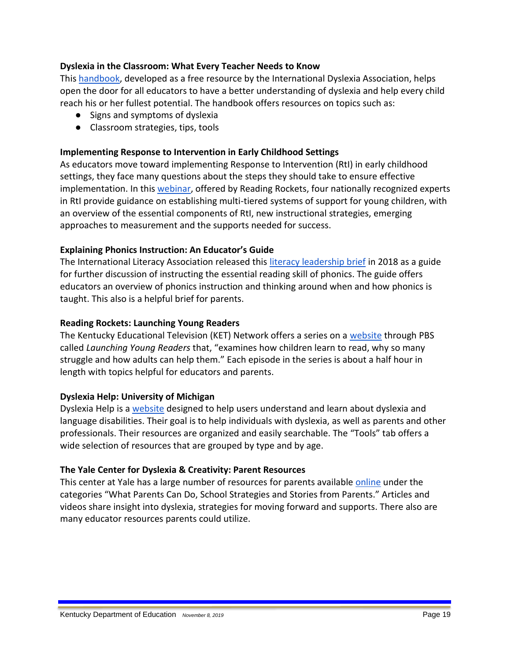#### **Dyslexia in the Classroom: What Every Teacher Needs to Know**

This [handbook,](https://dyslexiaida.org/dyslexia-in-the-classroom/) developed as a free resource by the International Dyslexia Association, helps open the door for all educators to have a better understanding of dyslexia and help every child reach his or her fullest potential. The handbook offers resources on topics such as:

- Signs and symptoms of dyslexia
- Classroom strategies, tips, tools

#### **Implementing Response to Intervention in Early Childhood Settings**

As educators move toward implementing Response to Intervention (RtI) in early childhood settings, they face many questions about the steps they should take to ensure effective implementation. In thi[s webinar,](http://www.readingrockets.org/webcasts/4001) offered by Reading Rockets, four nationally recognized experts in RtI provide guidance on establishing multi-tiered systems of support for young children, with an overview of the essential components of RtI, new instructional strategies, emerging approaches to measurement and the supports needed for success.

#### **Explaining Phonics Instruction: An Educator's Guide**

The International Literacy Association released this [literacy leadership brief](https://literacyworldwide.org/docs/default-source/where-we-stand/ila-explaining-phonics-instruction-an-educators-guide.pdf) in 2018 as a guide for further discussion of instructing the essential reading skill of phonics. The guide offers educators an overview of phonics instruction and thinking around when and how phonics is taught. This also is a helpful brief for parents.

#### **Reading Rockets: Launching Young Readers**

The Kentucky Educational Television (KET) Network offers a series on a [website](https://www.ket.org/series/RROC/) through PBS called *Launching Young Readers* that, "examines how children learn to read, why so many struggle and how adults can help them." Each episode in the series is about a half hour in length with topics helpful for educators and parents.

#### **Dyslexia Help: University of Michigan**

Dyslexia Help is a [website](http://dyslexiahelp.umich.edu/) designed to help users understand and learn about dyslexia and language disabilities. Their goal is to help individuals with dyslexia, as well as parents and other professionals. Their resources are organized and easily searchable. The "Tools" tab offers a wide selection of resources that are grouped by type and by age.

#### **The Yale Center for Dyslexia & Creativity: Parent Resources**

This center at Yale has a large number of resources for parents available [online](https://www.dyslexia.yale.edu/) under the categories "What Parents Can Do, School Strategies and Stories from Parents." Articles and videos share insight into dyslexia, strategies for moving forward and supports. There also are many educator resources parents could utilize.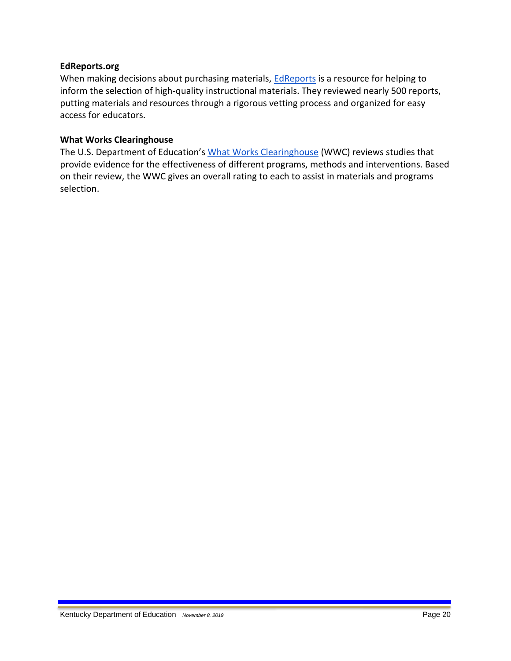#### **EdReports.org**

When making decisions about purchasing materials, [EdReports](http://edreports.org/) is a resource for helping to inform the selection of high-quality instructional materials. They reviewed nearly 500 reports, putting materials and resources through a rigorous vetting process and organized for easy access for educators.

#### **What Works Clearinghouse**

The U.S. Department of Education's [What Works Clearinghouse](https://ies.ed.gov/ncee/wwc/) (WWC) reviews studies that provide evidence for the effectiveness of different programs, methods and interventions. Based on their review, the WWC gives an overall rating to each to assist in materials and programs selection.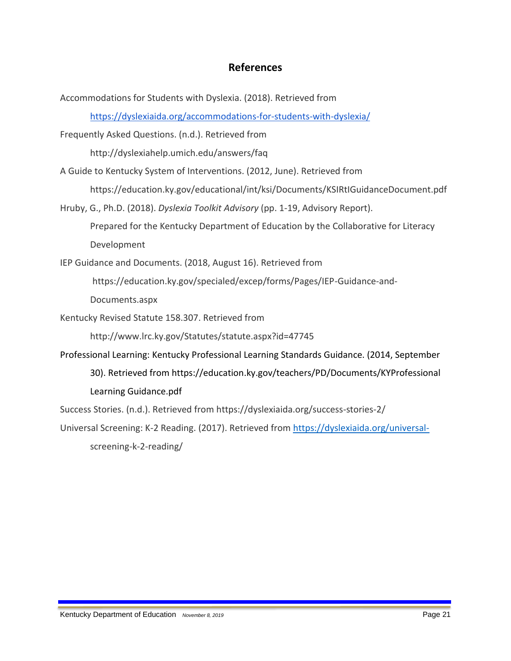## **References**

Accommodations for Students with Dyslexia. (2018). Retrieved from <https://dyslexiaida.org/accommodations-for-students-with-dyslexia/> Frequently Asked Questions. (n.d.). Retrieved from http://dyslexiahelp.umich.edu/answers/faq A Guide to Kentucky System of Interventions. (2012, June). Retrieved from https://education.ky.gov/educational/int/ksi/Documents/KSIRtIGuidanceDocument.pdf Hruby, G., Ph.D. (2018). *Dyslexia Toolkit Advisory* (pp. 1-19, Advisory Report). Prepared for the Kentucky Department of Education by the Collaborative for Literacy Development IEP Guidance and Documents. (2018, August 16). Retrieved from https://education.ky.gov/specialed/excep/forms/Pages/IEP-Guidance-and-Documents.aspx Kentucky Revised Statute 158.307. Retrieved from http://www.lrc.ky.gov/Statutes/statute.aspx?id=47745 Professional Learning: Kentucky Professional Learning Standards Guidance. (2014, September 30). Retrieved from https://education.ky.gov/teachers/PD/Documents/KYProfessional Learning Guidance.pdf Success Stories. (n.d.). Retrieved from https://dyslexiaida.org/success-stories-2/ Universal Screening: K-2 Reading. (2017). Retrieved from<https://dyslexiaida.org/universal->

screening-k-2-reading/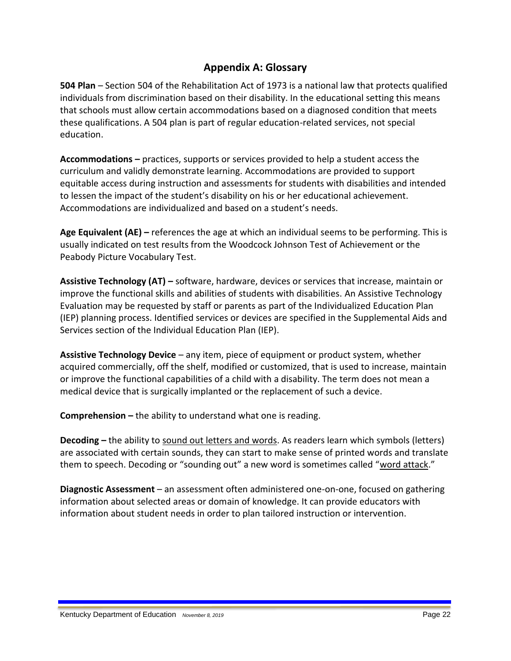## **Appendix A: Glossary**

**504 Plan** – Section 504 of the Rehabilitation Act of 1973 is a national law that protects qualified individuals from discrimination based on their disability. In the educational setting this means that schools must allow certain accommodations based on a diagnosed condition that meets these qualifications. A 504 plan is part of regular education-related services, not special education.

**Accommodations –** practices, supports or services provided to help a student access the curriculum and validly demonstrate learning. Accommodations are provided to support equitable access during instruction and assessments for students with disabilities and intended to lessen the impact of the student's disability on his or her educational achievement. Accommodations are individualized and based on a student's needs.

**Age Equivalent (AE) –** references the age at which an individual seems to be performing. This is usually indicated on test results from the Woodcock Johnson Test of Achievement or the Peabody Picture Vocabulary Test.

**Assistive Technology (AT) –** software, hardware, devices or services that increase, maintain or improve the functional skills and abilities of students with disabilities. An Assistive Technology Evaluation may be requested by staff or parents as part of the Individualized Education Plan (IEP) planning process. Identified services or devices are specified in the Supplemental Aids and Services section of the Individual Education Plan (IEP).

**Assistive Technology Device** – any item, piece of equipment or product system, whether acquired commercially, off the shelf, modified or customized, that is used to increase, maintain or improve the functional capabilities of a child with a disability. The term does not mean a medical device that is surgically implanted or the replacement of such a device.

**Comprehension –** the ability to understand what one is reading.

<span id="page-21-0"></span>**Decoding –** the ability to sound out letters and words. As readers learn which symbols (letters) are associated with certain sounds, they can start to make sense of printed words and translate them to speech. Decoding or "sounding out" a new word is sometimes called "word attack."

**Diagnostic Assessment** – an assessment often administered one-on-one, focused on gathering information about selected areas or domain of knowledge. It can provide educators with information about student needs in order to plan tailored instruction or intervention.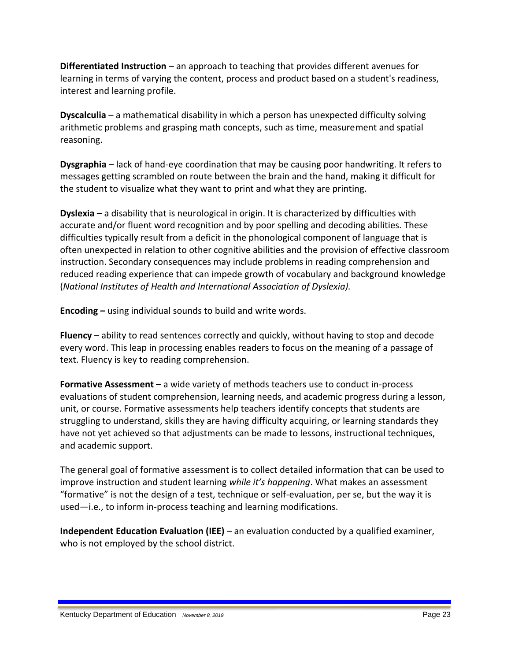**Differentiated Instruction** – an approach to teaching that provides different avenues for learning in terms of varying the content, process and product based on a student's readiness, interest and learning profile.

**Dyscalculia** – a mathematical disability in which a person has unexpected difficulty solving arithmetic problems and grasping math concepts, such as time, measurement and spatial reasoning.

**Dysgraphia** – lack of hand-eye coordination that may be causing poor handwriting. It refers to messages getting scrambled on route between the brain and the hand, making it difficult for the student to visualize what they want to print and what they are printing.

**Dyslexia** – a disability that is neurological in origin. It is characterized by difficulties with accurate and/or fluent word recognition and by poor spelling and decoding abilities. These difficulties typically result from a deficit in the phonological component of language that is often unexpected in relation to other cognitive abilities and the provision of effective classroom instruction. Secondary consequences may include problems in reading comprehension and reduced reading experience that can impede growth of vocabulary and background knowledge (*National Institutes of Health and International Association of Dyslexia).*

<span id="page-22-0"></span>**Encoding –** using individual sounds to build and write words.

**Fluency** – ability to read sentences correctly and quickly, without having to stop and decode every word. This leap in processing enables readers to focus on the meaning of a passage of text. Fluency is key to reading comprehension.

**Formative Assessment** – a wide variety of methods teachers use to conduct in-process evaluations of student comprehension, learning needs, and academic progress during a lesson, unit, or course. Formative assessments help teachers identify concepts that students are struggling to understand, skills they are having difficulty acquiring, or learning standards they have not yet achieved so that adjustments can be made to lessons, instructional techniques, and academic support.

The general goal of formative assessment is to collect detailed information that can be used to improve instruction and student learning *while it's happening*. What makes an assessment "formative" is not the design of a test, technique or self-evaluation, per se, but the way it is used—i.e., to inform in-process teaching and learning modifications.

**Independent Education Evaluation (IEE)** – an evaluation conducted by a qualified examiner, who is not employed by the school district.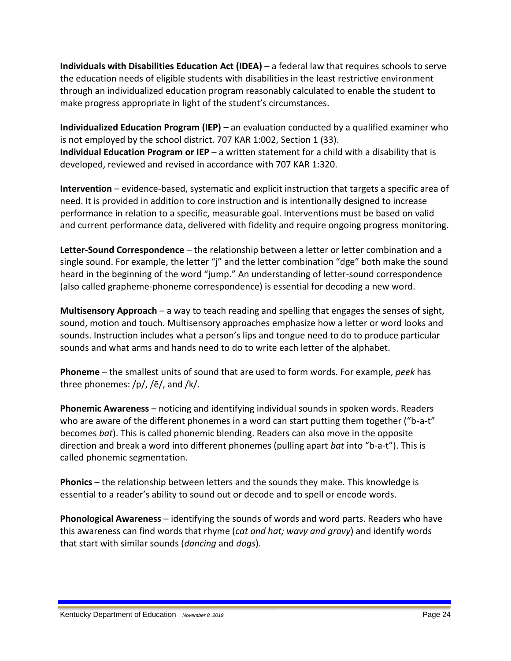**Individuals with Disabilities Education Act (IDEA)** – a federal law that requires schools to serve the education needs of eligible students with disabilities in the least restrictive environment through an individualized education program reasonably calculated to enable the student to make progress appropriate in light of the student's circumstances.

**Individualized Education Program (IEP)** – an evaluation conducted by a qualified examiner who is not employed by the school district. 707 KAR 1:002, Section 1 (33). **Individual Education Program or IEP** – a written statement for a child with a disability that is developed, reviewed and revised in accordance with 707 KAR 1:320.

**Intervention** – evidence-based, systematic and explicit instruction that targets a specific area of need. It is provided in addition to core instruction and is intentionally designed to increase performance in relation to a specific, measurable goal. Interventions must be based on valid and current performance data, delivered with fidelity and require ongoing progress monitoring.

**Letter-Sound Correspondence** – the relationship between a letter or letter combination and a single sound. For example, the letter "j" and the letter combination "dge" both make the sound heard in the beginning of the word "jump." An understanding of letter-sound correspondence (also called grapheme-phoneme correspondence) is essential for decoding a new word.

**Multisensory Approach** – a way to teach reading and spelling that engages the senses of sight, sound, motion and touch. Multisensory approaches emphasize how a letter or word looks and sounds. Instruction includes what a person's lips and tongue need to do to produce particular sounds and what arms and hands need to do to write each letter of the alphabet.

**Phoneme** – the smallest units of sound that are used to form words. For example, *peek* has three phonemes: /p/, /ē/, and /k/.

<span id="page-23-1"></span>**Phonemic Awareness** – noticing and identifying individual sounds in spoken words. Readers who are aware of the different phonemes in a word can start putting them together ("b-a-t" becomes *bat*). This is called phonemic blending. Readers can also move in the opposite direction and break a word into different phonemes (pulling apart *bat* into "b-a-t"). This is called phonemic segmentation.

**Phonics** – the relationship between letters and the sounds they make. This knowledge is essential to a reader's ability to sound out or decode and to spell or encode words.

<span id="page-23-0"></span>**Phonological Awareness** – identifying the sounds of words and word parts. Readers who have this awareness can find words that rhyme (*cat and hat; wavy and gravy*) and identify words that start with similar sounds (*dancing* and *dogs*).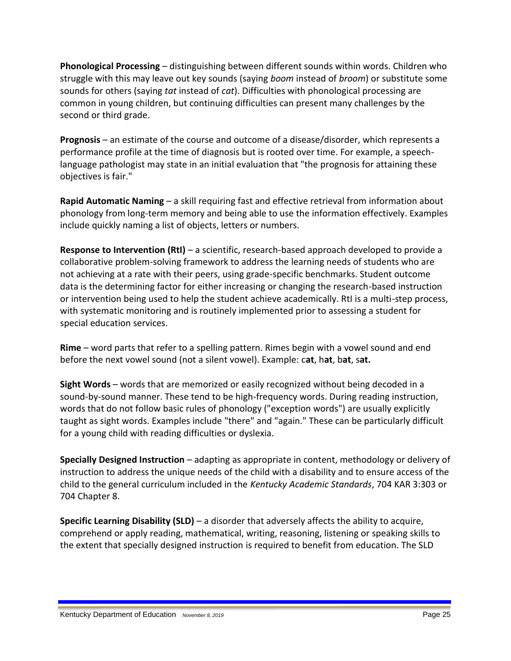**Phonological Processing** – distinguishing between different sounds within words. Children who struggle with this may leave out key sounds (saying *boom* instead of *broom*) or substitute some sounds for others (saying *tat* instead of *cat*). Difficulties with phonological processing are common in young children, but continuing difficulties can present many challenges by the second or third grade.

**Prognosis** – an estimate of the course and outcome of a disease/disorder, which represents a performance profile at the time of diagnosis but is rooted over time. For example, a speechlanguage pathologist may state in an initial evaluation that "the prognosis for attaining these objectives is fair."

**Rapid Automatic Naming** – a skill requiring fast and effective retrieval from information about phonology from long-term memory and being able to use the information effectively. Examples include quickly naming a list of objects, letters or numbers.

**Response to Intervention (RtI)** – a scientific, research-based approach developed to provide a collaborative problem-solving framework to address the learning needs of students who are not achieving at a rate with their peers, using grade-specific benchmarks. Student outcome data is the determining factor for either increasing or changing the research-based instruction or intervention being used to help the student achieve academically. RtI is a multi-step process, with systematic monitoring and is routinely implemented prior to assessing a student for special education services.

**Rime** – word parts that refer to a spelling pattern. Rimes begin with a vowel sound and end before the next vowel sound (not a silent vowel). Example: c**at**, h**at**, b**at**, s**at.** 

**Sight Words** – words that are memorized or easily recognized without being decoded in a sound-by-sound manner. These tend to be high-frequency words. During reading instruction, words that do not follow basic rules of phonology ("exception words") are usually explicitly taught as sight words. Examples include "there" and "again." These can be particularly difficult for a young child with reading difficulties or dyslexia.

**Specially Designed Instruction** – adapting as appropriate in content, methodology or delivery of instruction to address the unique needs of the child with a disability and to ensure access of the child to the general curriculum included in the *Kentucky Academic Standards*, 704 KAR 3:303 or 704 Chapter 8.

**Specific Learning Disability (SLD)** – a disorder that adversely affects the ability to acquire, comprehend or apply reading, mathematical, writing, reasoning, listening or speaking skills to the extent that specially designed instruction is required to benefit from education. The SLD